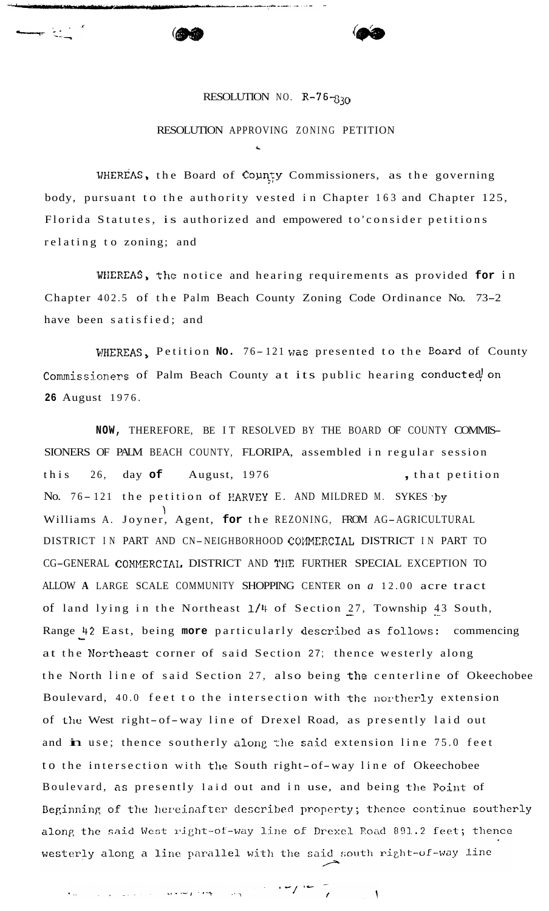## RESOLUTION NO.  $R-76-830$

## RESOLUTION APPROVING ZONING PETITION

*c* 

WHEREAS, the Board of County Commissioners, as the governing body, pursuant to the authority vested in Chapter 163 and Chapter 125, Florida Statutes, is authorized and empowered to'consider petitions relating to zoning; and

WKREAS, the notice and hearing requirements as provided **for** in Chapter 402.5 of the Palm Beach County Zoning Code Ordinance No. 73-2 have been satisfied; and

WHEREAS, Petition No. 76-121 was presented to the Board of County Commissioners of Palm Beach County at its public hearing conducted on **26** August 1976.

**NOW,** THEREFORE, BE IT RESOLVED BY THE BOARD OF COUNTY COMMIS-SIONERS OF PALM BEACH COUNTY, FLORIPA, assembled in regular session this 26, day of August, 1976 **,** that petition No. 76-121 the petition of HARVEY E. AND MILDRED M. SYKES by Williams A. Joyner, Agent, **for** the REZONING, FROM AG-AGRICULTURAL 1 DISTRICT IN PART AND CN-NEIGHBORHOOD COJIMERCIAL DISTRICT IN PART TO CG-GENERAL COMXERCIAL DISTRICT AND TIIE FURTHER SPECIAL EXCEPTION TO ALLOW **A** LARGE SCALE COMMUNITY SHOPPING CENTER on *a* 12.00 acre tract of land lying in the Northeast  $1/4$  of Section 27, Township 43 South, Range 42 East, being more particularly described as follows: commencing at the Northeast corner of said Section 27; thence westerly along the North line of said Section 27, also being the centerline of Okeechobee Boulevard, 40.0 feet to the intersection with the northerly extension of the West right-of-way line of Drexel Road, as presently laid out and in use; thence southerly along the said extension line 75.0 feet to the intersection with the South right-of-way line of Okeechobee Boulevard, as presently laid out and in use, and being the Point of Beginning of the hereinafter described property; thence continue southerly along the said West right-of-way line of Drexel Road 891.2 feet; thence westerly along a line parallel with the said south right-of-way line

 $\bar{ }$ 

 $\mathcal{L} \times \mathcal{L} \times \mathcal{L}$ and the property of the state of the property